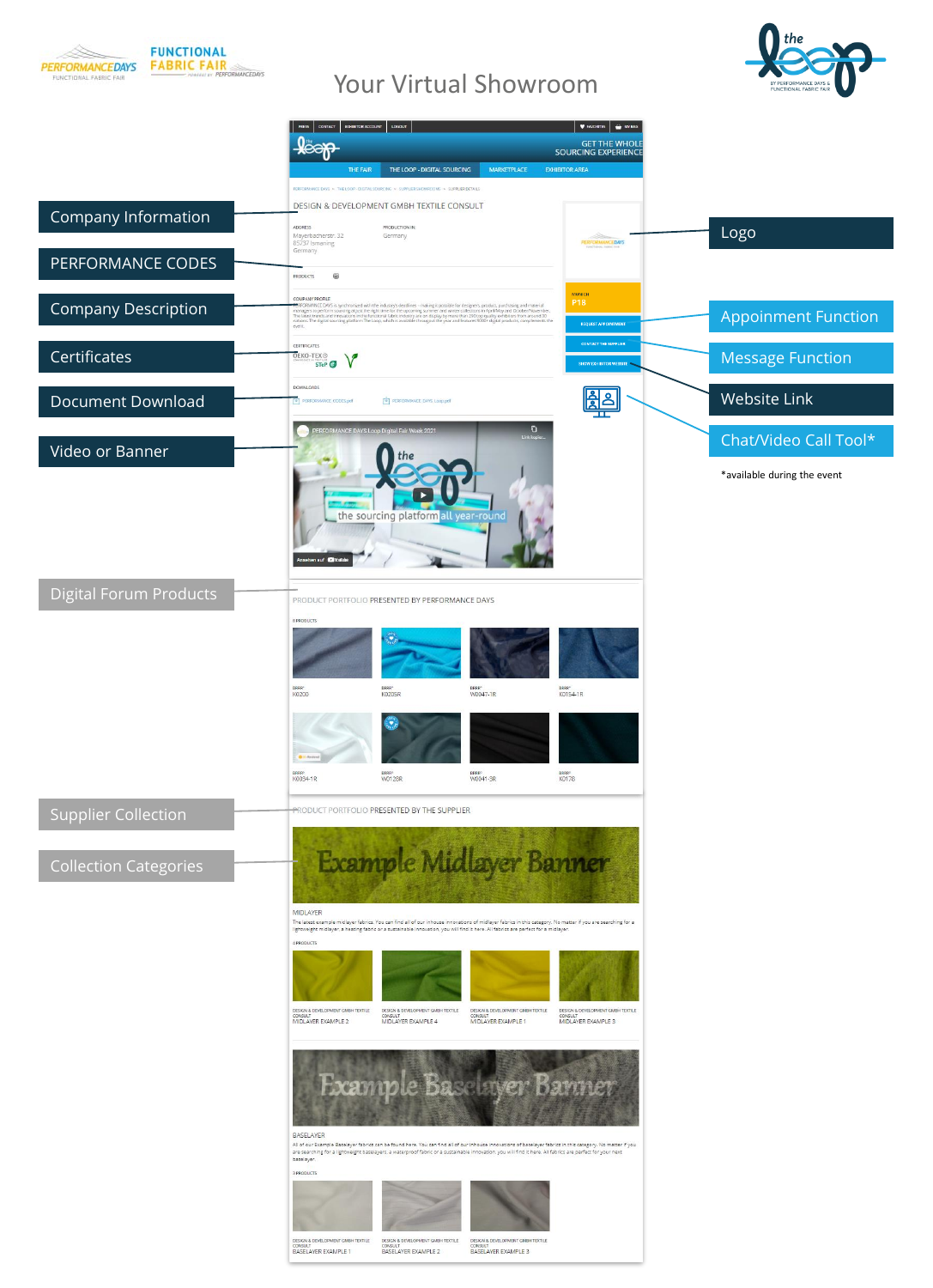

# Your Virtual Showroom



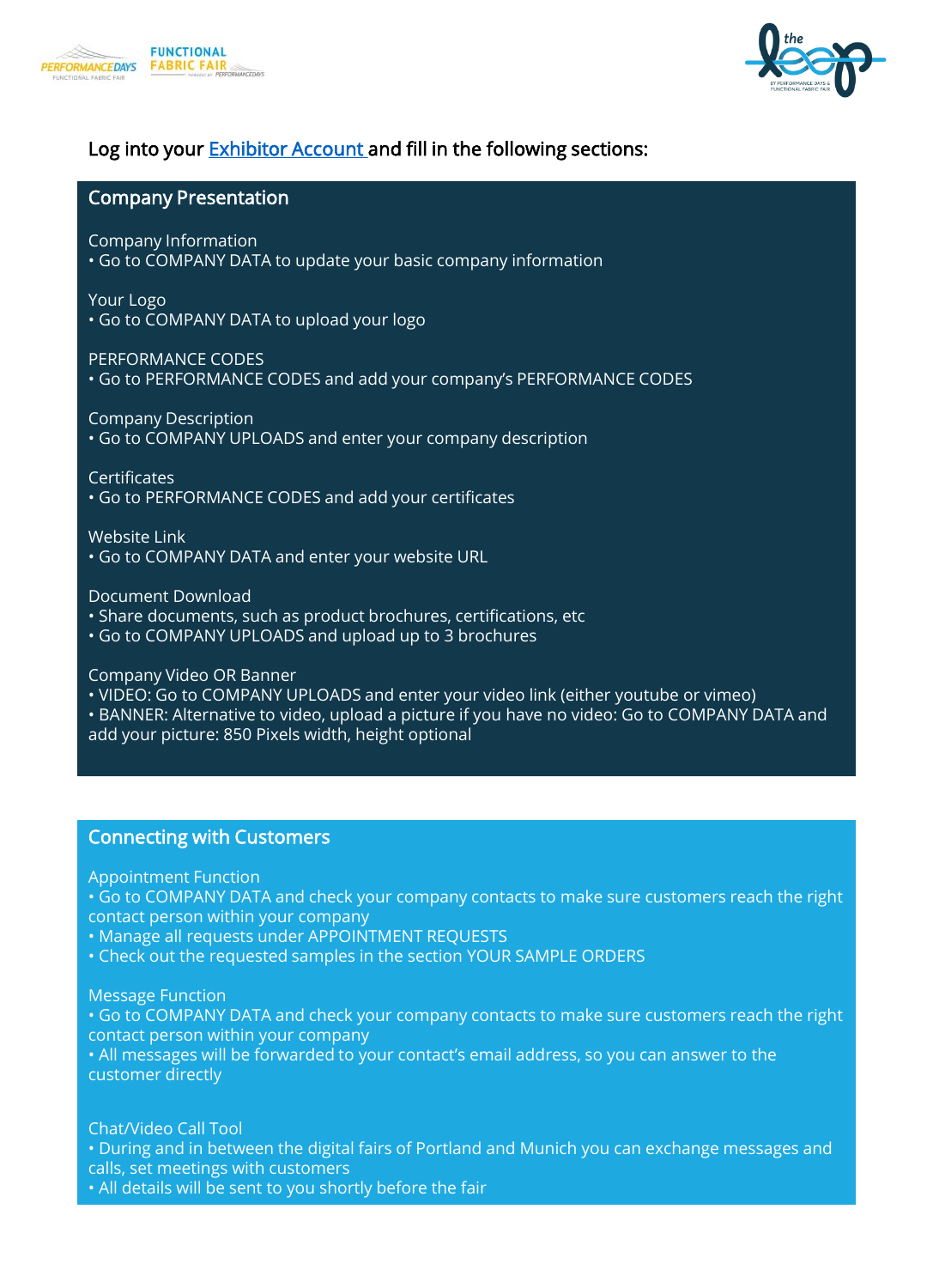



#### Company Presentation

Company Information • Go to COMPANY DATA to update your basic company information

Your Logo • Go to COMPANY DATA to upload your logo

PERFORMANCE CODES

• Go to PERFORMANCE CODES and add your company's PERFORMANCE CODES

Company Description

• Go to COMPANY UPLOADS and enter your company description

**Certificates** 

• Go to PERFORMANCE CODES and add your certificates

Website Link

• Go to COMPANY DATA and enter your website URL

Document Download

- Share documents, such as product brochures, certifications, etc
- Go to COMPANY UPLOADS and upload up to 3 brochures

Company Video OR Banner

- VIDEO: Go to COMPANY UPLOADS and enter your video link (either youtube or vimeo)
- BANNER: Alternative to video, upload a picture if you have no video: Go to COMPANY DATA and add your picture: 850 Pixels width, height optional

#### Connecting with Customers

Appointment Function

- Go to COMPANY DATA and check your company contacts to make sure customers reach the right contact person within your company
- Manage all requests under APPOINTMENT REQUESTS
- Check out the requested samples in the section YOUR SAMPLE ORDERS

Message Function

• Go to COMPANY DATA and check your company contacts to make sure customers reach the right contact person within your company

• All messages will be forwarded to your contact's email address, so you can answer to the customer directly

Chat/Video Call Tool

• During and in between the digital fairs of Portland and Munich you can exchange messages and calls, set meetings with customers

• All details will be sent to you shortly before the fair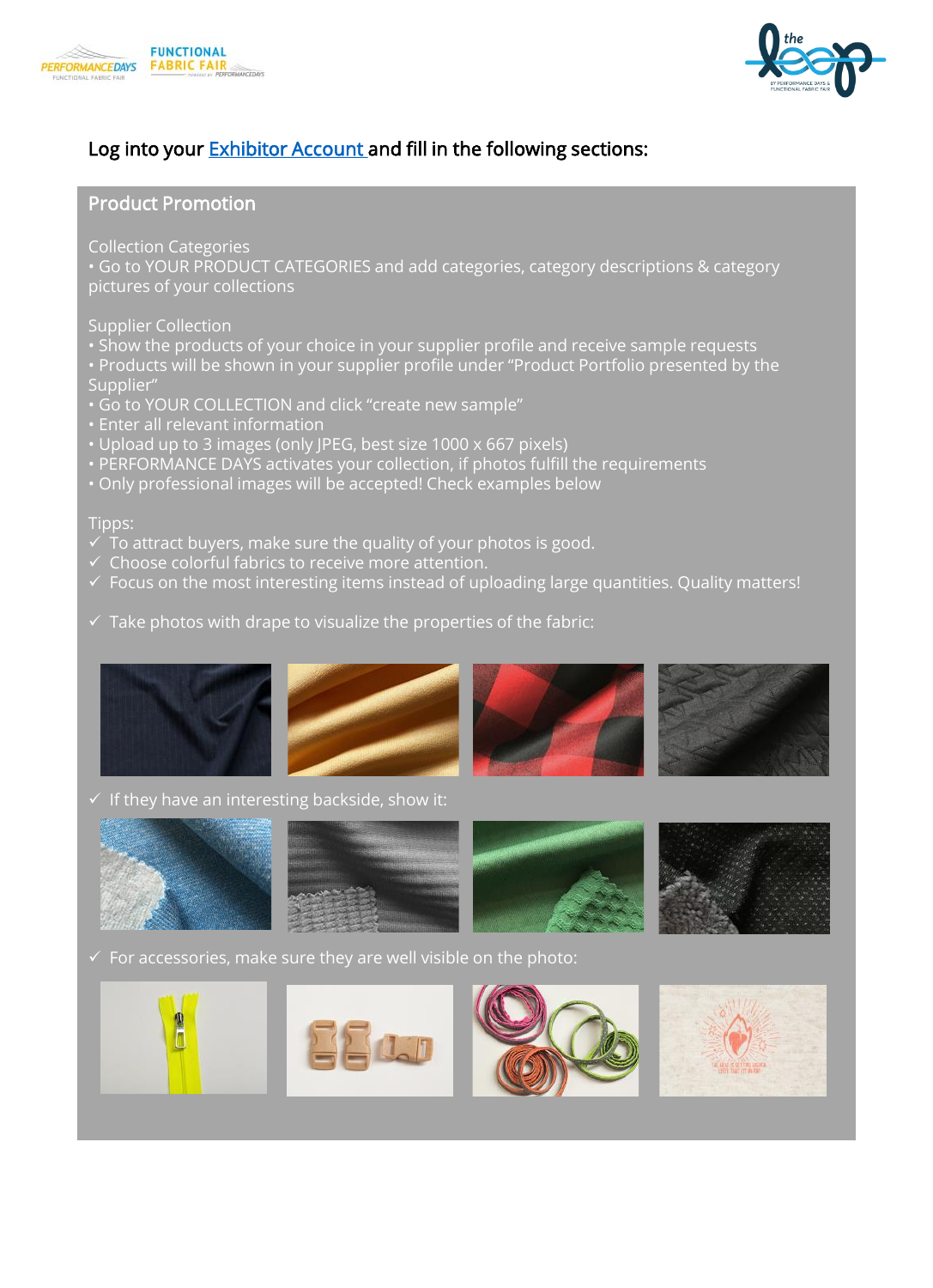



#### Product Promotion

Collection Categories

• Go to YOUR PRODUCT CATEGORIES and add categories, category descriptions & category pictures of your collections

Supplier Collection

- Show the products of your choice in your supplier profile and receive sample requests
- Products will be shown in your supplier profile under "Product Portfolio presented by the Supplier"
- Go to YOUR COLLECTION and click "create new sample"
- Enter all relevant information
- Upload up to 3 images (only JPEG, best size 1000 x 667 pixels)
- PERFORMANCE DAYS activates your collection, if photos fulfill the requirements
- Only professional images will be accepted! Check examples below

#### Tipps:

- $\checkmark$  To attract buyers, make sure the quality of your photos is good.
- $\checkmark$  Choose colorful fabrics to receive more attention.
- ✓ Focus on the most interesting items instead of uploading large quantities. Quality matters!
- $\checkmark$  Take photos with drape to visualize the properties of the fabric:



 $\checkmark$  If they have an interesting backside, show it:



 $\checkmark$  For accessories, make sure they are well visible on the photo:

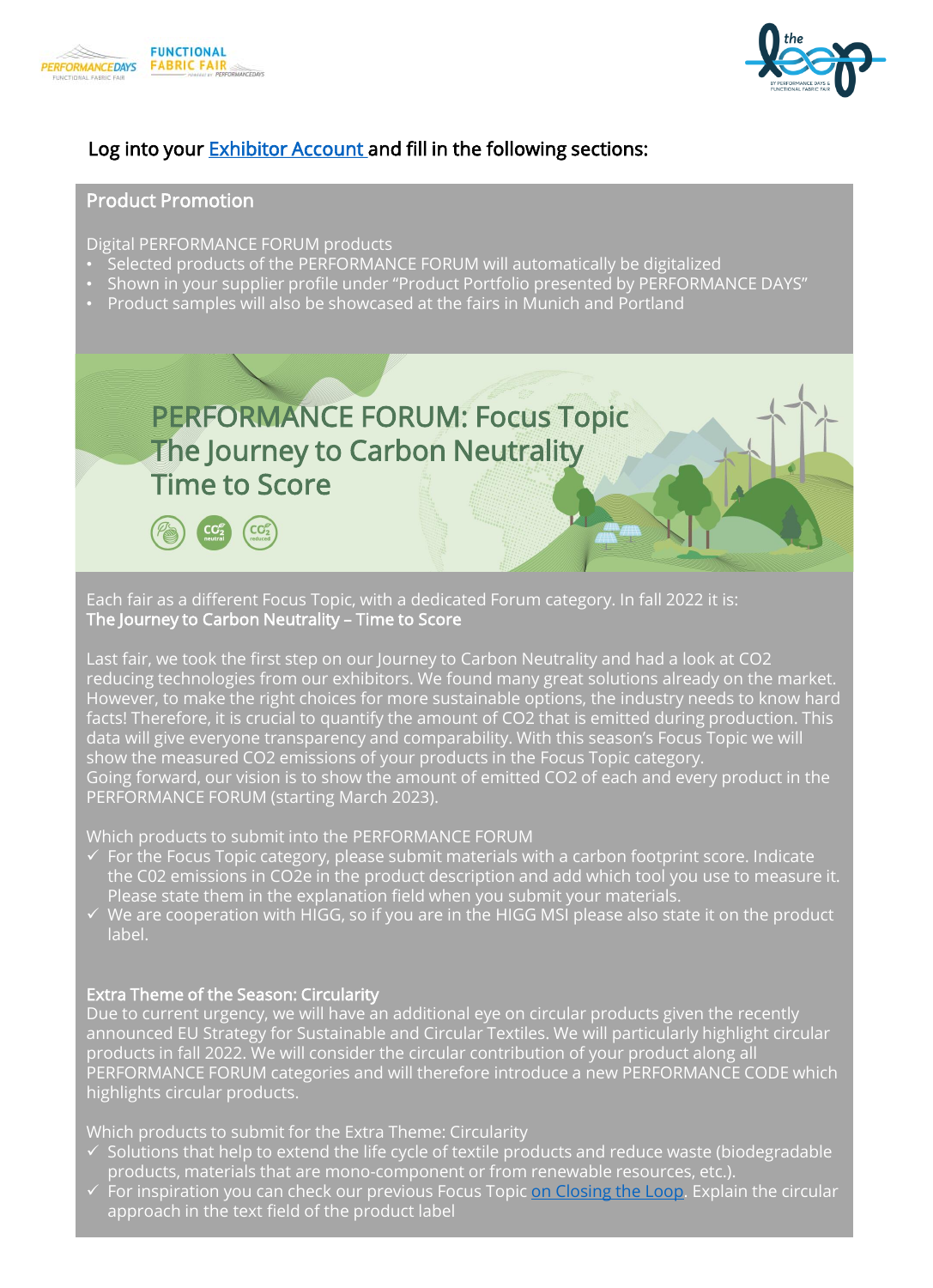



#### Product Promotion

Digital PERFORMANCE FORUM products

 $CC<sub>2</sub>$ 

- Selected products of the PERFORMANCE FORUM will automatically be digitalized
- Shown in your supplier profile under "Product Portfolio presented by PERFORMANCE DAYS"
- Product samples will also be showcased at the fairs in Munich and Portland



Each fair as a different Focus Topic, with a dedicated Forum category. In fall 2022 it is: The Journey to Carbon Neutrality – Time to Score

Last fair, we took the first step on our Journey to Carbon Neutrality and had a look at CO2 reducing technologies from our exhibitors. We found many great solutions already on the market. However, to make the right choices for more sustainable options, the industry needs to know hard facts! Therefore, it is crucial to quantify the amount of CO2 that is emitted during production. This data will give everyone transparency and comparability. With this season's Focus Topic we will show the measured CO2 emissions of your products in the Focus Topic category. Going forward, our vision is to show the amount of emitted CO2 of each and every product in the PERFORMANCE FORUM (starting March 2023).

Which products to submit into the PERFORMANCE FORUM

- $\checkmark$  For the Focus Topic category, please submit materials with a carbon footprint score. Indicate the C02 emissions in CO2e in the product description and add which tool you use to measure it. Please state them in the explanation field when you submit your materials.
- $\checkmark$  We are cooperation with HIGG, so if you are in the HIGG MSI please also state it on the product label.

#### Extra Theme of the Season: Circularity

Due to current urgency, we will have an additional eye on circular products given the recently announced EU Strategy for Sustainable and Circular Textiles. We will particularly highlight circular products in fall 2022. We will consider the circular contribution of your product along all PERFORMANCE FORUM categories and will therefore introduce a new PERFORMANCE CODE which highlights circular products.

Which products to submit for the Extra Theme: Circularity

- $\checkmark$  Solutions that help to extend the life cycle of textile products and reduce waste (biodegradable products, materials that are mono-component or from renewable resources, etc.).
- $\checkmark$  For inspiration you can check our previous Focus Topic [on Closing the Loop.](https://www.performancedays.com/loop/2020-12-nothing-to-waste.html) Explain the circular approach in the text field of the product label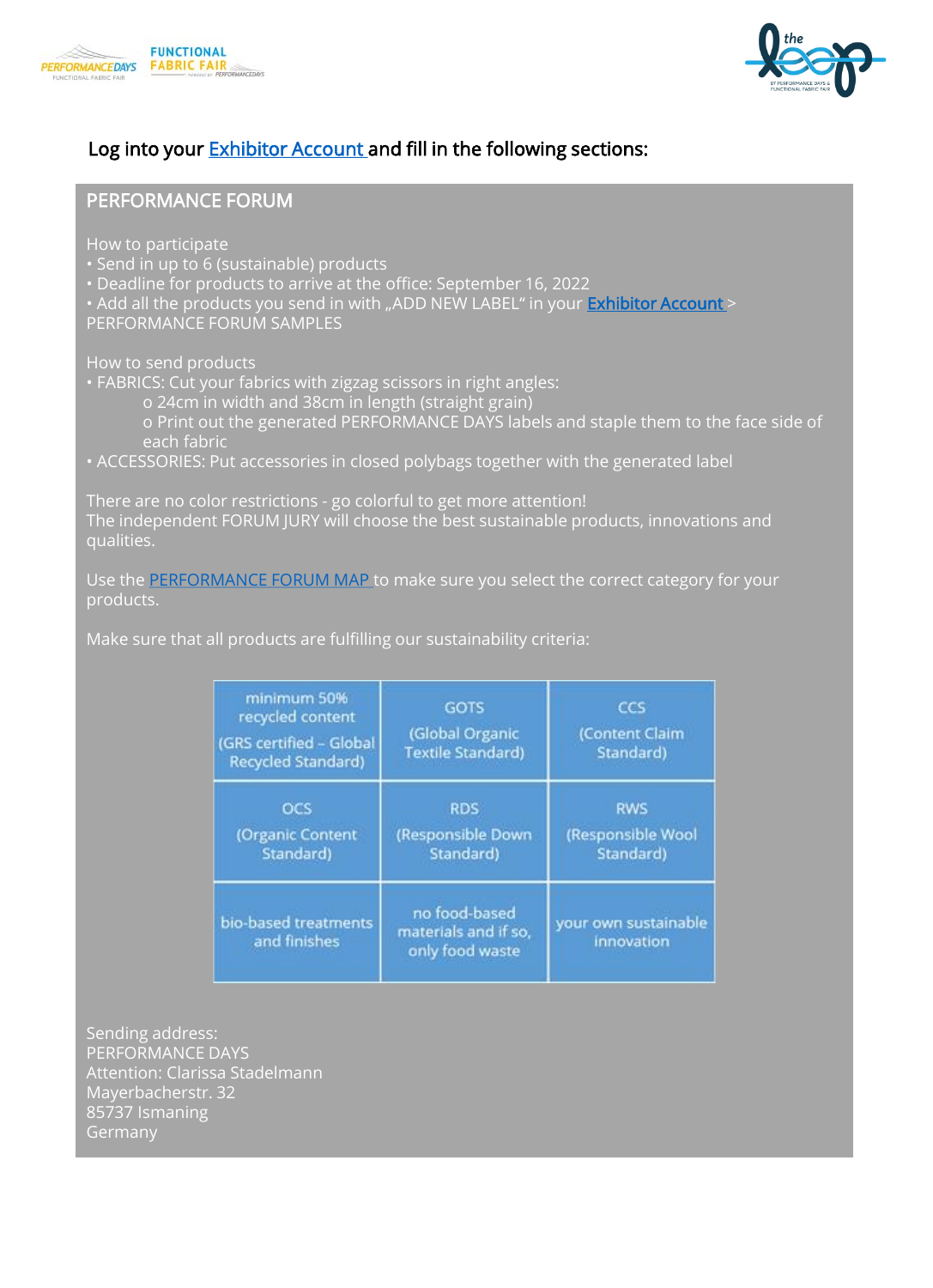



### PERFORMANCE FORUM

How to participate

- Send in up to 6 (sustainable) products
- Deadline for products to arrive at the office: September 16, 2022
- Add all the products you send in with "ADD NEW LABEL" in your **Exhibitor Account**

PERFORMANCE FORUM SAMPLES

How to send products

- FABRICS: Cut your fabrics with zigzag scissors in right angles:
	- o 24cm in width and 38cm in length (straight grain)
	- o Print out the generated PERFORMANCE DAYS labels and staple them to the face side of each fabric
- ACCESSORIES: Put accessories in closed polybags together with the generated label

There are no color restrictions - go colorful to get more attention! The independent FORUM JURY will choose the best sustainable products, innovations and qualities.

Use the [PERFORMANCE FORUM MAP](https://www.performancedays.com/files/performancedays/content/exhibitor-area/Dateien%20-%20aendern%20pro%20Event/PERFORMANCE_FORUM_Map_April_2022.pdf) to make sure you select the correct category for your products.

Make sure that all products are fulfilling our sustainability criteria:

| minimum 50%<br>recycled content<br>(GRS certified - Global<br>Recycled Standard) | GOTS<br>(Global Organic<br><b>Textile Standard)</b>      | ccs<br>(Content Claim<br>Standard)           |  |
|----------------------------------------------------------------------------------|----------------------------------------------------------|----------------------------------------------|--|
| <b>OCS</b><br>(Organic Content<br>Standard)                                      | <b>RDS</b><br>(Responsible Down<br>Standard)             | <b>RWS</b><br>(Responsible Wool<br>Standard) |  |
| bio-based treatments<br>and finishes                                             | no food-based<br>materials and if so,<br>only food waste | your own sustainable<br>innovation           |  |

Sending address: PERFORMANCE DAYS Attention: Clarissa Stadelmann Mayerbacherstr. 32 85737 Ismaning Germany